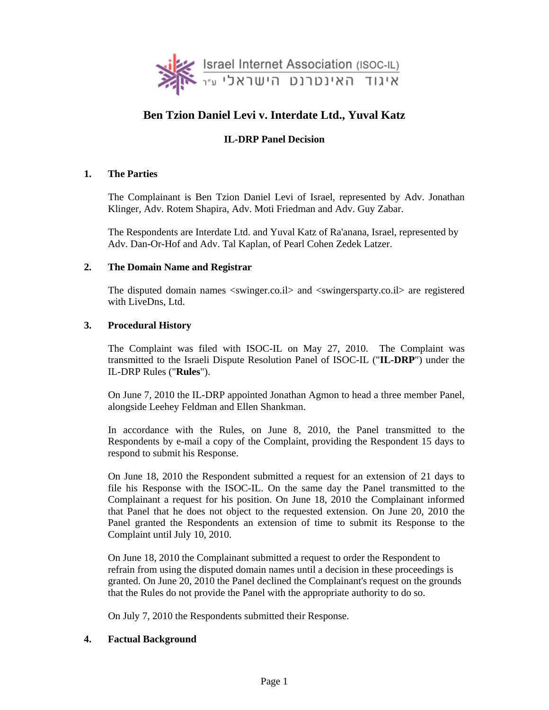

# **Ben Tzion Daniel Levi v. Interdate Ltd., Yuval Katz**

## **IL-DRP Panel Decision**

### **1. The Parties**

The Complainant is Ben Tzion Daniel Levi of Israel, represented by Adv. Jonathan Klinger, Adv. Rotem Shapira, Adv. Moti Friedman and Adv. Guy Zabar.

The Respondents are Interdate Ltd. and Yuval Katz of Ra'anana, Israel, represented by Adv. Dan-Or-Hof and Adv. Tal Kaplan, of Pearl Cohen Zedek Latzer.

### **2. The Domain Name and Registrar**

The disputed domain names <swinger.co.il> and <swingersparty.co.il> are registered with LiveDns, Ltd.

## **3. Procedural History**

The Complaint was filed with ISOC-IL on May 27, 2010. The Complaint was transmitted to the Israeli Dispute Resolution Panel of ISOC-IL ("**IL-DRP**") under the IL-DRP Rules ("**Rules**").

On June 7, 2010 the IL-DRP appointed Jonathan Agmon to head a three member Panel, alongside Leehey Feldman and Ellen Shankman.

In accordance with the Rules, on June 8, 2010, the Panel transmitted to the Respondents by e-mail a copy of the Complaint, providing the Respondent 15 days to respond to submit his Response.

On June 18, 2010 the Respondent submitted a request for an extension of 21 days to file his Response with the ISOC-IL. On the same day the Panel transmitted to the Complainant a request for his position. On June 18, 2010 the Complainant informed that Panel that he does not object to the requested extension. On June 20, 2010 the Panel granted the Respondents an extension of time to submit its Response to the Complaint until July 10, 2010.

On June 18, 2010 the Complainant submitted a request to order the Respondent to refrain from using the disputed domain names until a decision in these proceedings is granted. On June 20, 2010 the Panel declined the Complainant's request on the grounds that the Rules do not provide the Panel with the appropriate authority to do so.

On July 7, 2010 the Respondents submitted their Response.

### **4. Factual Background**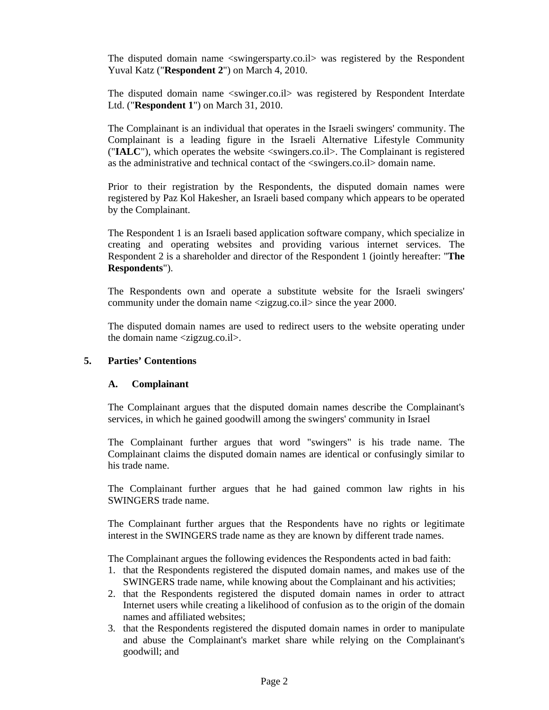The disputed domain name <swingersparty.co.il> was registered by the Respondent Yuval Katz ("**Respondent 2**") on March 4, 2010.

The disputed domain name <swinger.co.il> was registered by Respondent Interdate Ltd. ("**Respondent 1**") on March 31, 2010.

The Complainant is an individual that operates in the Israeli swingers' community. The Complainant is a leading figure in the Israeli Alternative Lifestyle Community ("**IALC**"), which operates the website <swingers.co.il>. The Complainant is registered as the administrative and technical contact of the <swingers.co.il> domain name.

Prior to their registration by the Respondents, the disputed domain names were registered by Paz Kol Hakesher, an Israeli based company which appears to be operated by the Complainant.

The Respondent 1 is an Israeli based application software company, which specialize in creating and operating websites and providing various internet services. The Respondent 2 is a shareholder and director of the Respondent 1 (jointly hereafter: "**The Respondents**").

The Respondents own and operate a substitute website for the Israeli swingers' community under the domain name <zigzug.co.il> since the year 2000.

The disputed domain names are used to redirect users to the website operating under the domain name <zigzug.co.il>.

### **5. Parties' Contentions**

#### **A. Complainant**

The Complainant argues that the disputed domain names describe the Complainant's services, in which he gained goodwill among the swingers' community in Israel

The Complainant further argues that word "swingers" is his trade name. The Complainant claims the disputed domain names are identical or confusingly similar to his trade name.

The Complainant further argues that he had gained common law rights in his SWINGERS trade name.

The Complainant further argues that the Respondents have no rights or legitimate interest in the SWINGERS trade name as they are known by different trade names.

The Complainant argues the following evidences the Respondents acted in bad faith:

- 1. that the Respondents registered the disputed domain names, and makes use of the SWINGERS trade name, while knowing about the Complainant and his activities;
- 2. that the Respondents registered the disputed domain names in order to attract Internet users while creating a likelihood of confusion as to the origin of the domain names and affiliated websites;
- 3. that the Respondents registered the disputed domain names in order to manipulate and abuse the Complainant's market share while relying on the Complainant's goodwill; and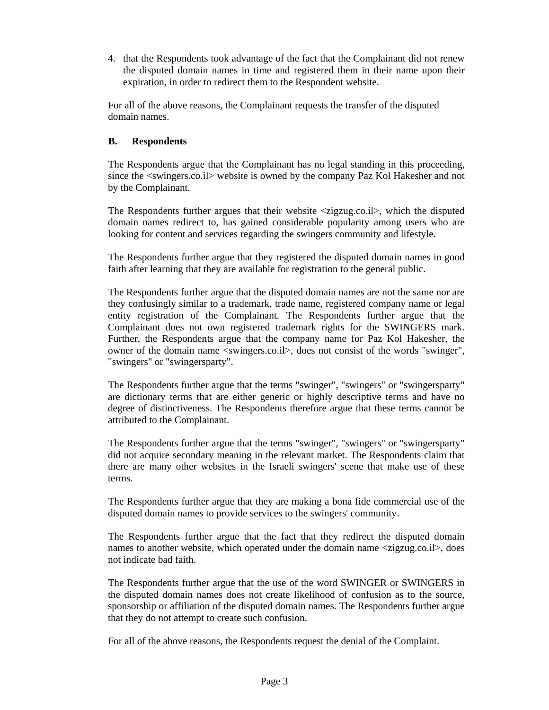4. that the Respondents took advantage of the fact that the Complainant did not renew the disputed domain names in time and registered them in their name upon their expiration, in order to redirect them to the Respondent website.

For all of the above reasons, the Complainant requests the transfer of the disputed domain names.

## **B. Respondents**

The Respondents argue that the Complainant has no legal standing in this proceeding, since the <swingers.co.il> website is owned by the company Paz Kol Hakesher and not by the Complainant.

The Respondents further argues that their website <zigzug.co.il>, which the disputed domain names redirect to, has gained considerable popularity among users who are looking for content and services regarding the swingers community and lifestyle.

The Respondents further argue that they registered the disputed domain names in good faith after learning that they are available for registration to the general public.

The Respondents further argue that the disputed domain names are not the same nor are they confusingly similar to a trademark, trade name, registered company name or legal entity registration of the Complainant. The Respondents further argue that the Complainant does not own registered trademark rights for the SWINGERS mark. Further, the Respondents argue that the company name for Paz Kol Hakesher, the owner of the domain name <swingers.co.il>, does not consist of the words "swinger", "swingers" or "swingersparty".

The Respondents further argue that the terms "swinger", "swingers" or "swingersparty" are dictionary terms that are either generic or highly descriptive terms and have no degree of distinctiveness. The Respondents therefore argue that these terms cannot be attributed to the Complainant.

The Respondents further argue that the terms "swinger", "swingers" or "swingersparty" did not acquire secondary meaning in the relevant market. The Respondents claim that there are many other websites in the Israeli swingers' scene that make use of these terms.

The Respondents further argue that they are making a bona fide commercial use of the disputed domain names to provide services to the swingers' community.

The Respondents further argue that the fact that they redirect the disputed domain names to another website, which operated under the domain name <zigzug.co.il>, does not indicate bad faith.

The Respondents further argue that the use of the word SWINGER or SWINGERS in the disputed domain names does not create likelihood of confusion as to the source, sponsorship or affiliation of the disputed domain names. The Respondents further argue that they do not attempt to create such confusion.

For all of the above reasons, the Respondents request the denial of the Complaint.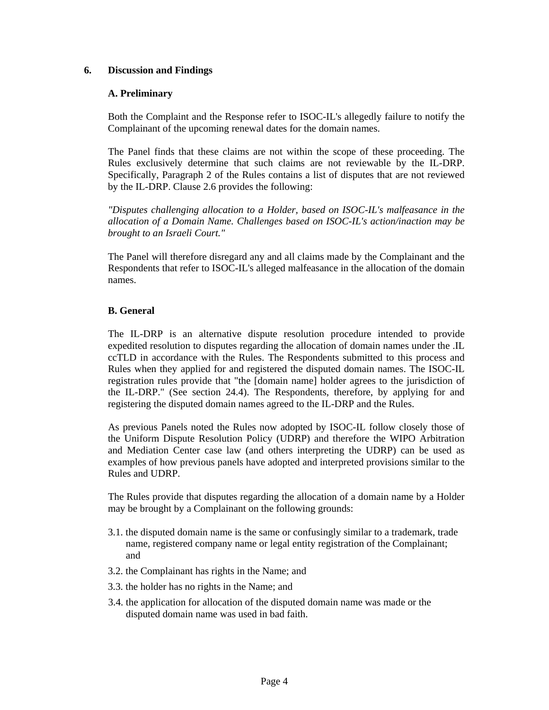### **6. Discussion and Findings**

## **A. Preliminary**

Both the Complaint and the Response refer to ISOC-IL's allegedly failure to notify the Complainant of the upcoming renewal dates for the domain names.

The Panel finds that these claims are not within the scope of these proceeding. The Rules exclusively determine that such claims are not reviewable by the IL-DRP. Specifically, Paragraph 2 of the Rules contains a list of disputes that are not reviewed by the IL-DRP. Clause 2.6 provides the following:

*"Disputes challenging allocation to a Holder, based on ISOC-IL's malfeasance in the allocation of a Domain Name. Challenges based on ISOC-IL's action/inaction may be brought to an Israeli Court."* 

The Panel will therefore disregard any and all claims made by the Complainant and the Respondents that refer to ISOC-IL's alleged malfeasance in the allocation of the domain names.

## **B. General**

The IL-DRP is an alternative dispute resolution procedure intended to provide expedited resolution to disputes regarding the allocation of domain names under the .IL ccTLD in accordance with the Rules. The Respondents submitted to this process and Rules when they applied for and registered the disputed domain names. The ISOC-IL registration rules provide that "the [domain name] holder agrees to the jurisdiction of the IL-DRP." (See section 24.4). The Respondents, therefore, by applying for and registering the disputed domain names agreed to the IL-DRP and the Rules.

As previous Panels noted the Rules now adopted by ISOC-IL follow closely those of the Uniform Dispute Resolution Policy (UDRP) and therefore the WIPO Arbitration and Mediation Center case law (and others interpreting the UDRP) can be used as examples of how previous panels have adopted and interpreted provisions similar to the Rules and UDRP.

The Rules provide that disputes regarding the allocation of a domain name by a Holder may be brought by a Complainant on the following grounds:

- 3.1. the disputed domain name is the same or confusingly similar to a trademark, trade name, registered company name or legal entity registration of the Complainant; and
- 3.2. the Complainant has rights in the Name; and
- 3.3. the holder has no rights in the Name; and
- 3.4. the application for allocation of the disputed domain name was made or the disputed domain name was used in bad faith.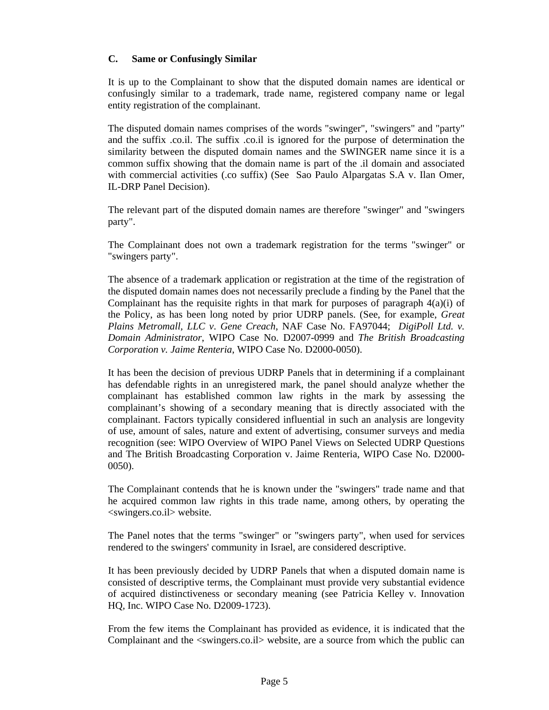## **C. Same or Confusingly Similar**

It is up to the Complainant to show that the disputed domain names are identical or confusingly similar to a trademark, trade name, registered company name or legal entity registration of the complainant.

The disputed domain names comprises of the words "swinger", "swingers" and "party" and the suffix .co.il. The suffix .co.il is ignored for the purpose of determination the similarity between the disputed domain names and the SWINGER name since it is a common suffix showing that the domain name is part of the .il domain and associated with commercial activities (.co suffix) (See Sao Paulo Alpargatas S.A v. Ilan Omer, IL-DRP Panel Decision).

The relevant part of the disputed domain names are therefore "swinger" and "swingers party".

The Complainant does not own a trademark registration for the terms "swinger" or "swingers party".

The absence of a trademark application or registration at the time of the registration of the disputed domain names does not necessarily preclude a finding by the Panel that the Complainant has the requisite rights in that mark for purposes of paragraph  $4(a)(i)$  of the Policy, as has been long noted by prior UDRP panels. (See, for example, *Great Plains Metromall, LLC v*. *Gene Creach*, NAF Case No. FA97044; *DigiPoll Ltd. v. Domain Administrator*, WIPO Case No. D2007-0999 and *The British Broadcasting Corporation v. Jaime Renteria*, WIPO Case No. D2000-0050).

It has been the decision of previous UDRP Panels that in determining if a complainant has defendable rights in an unregistered mark, the panel should analyze whether the complainant has established common law rights in the mark by assessing the complainant's showing of a secondary meaning that is directly associated with the complainant. Factors typically considered influential in such an analysis are longevity of use, amount of sales, nature and extent of advertising, consumer surveys and media recognition (see: WIPO Overview of WIPO Panel Views on Selected UDRP Questions and The British Broadcasting Corporation v. Jaime Renteria, WIPO Case No. D2000- 0050).

The Complainant contends that he is known under the "swingers" trade name and that he acquired common law rights in this trade name, among others, by operating the <swingers.co.il> website.

The Panel notes that the terms "swinger" or "swingers party", when used for services rendered to the swingers' community in Israel, are considered descriptive.

It has been previously decided by UDRP Panels that when a disputed domain name is consisted of descriptive terms, the Complainant must provide very substantial evidence of acquired distinctiveness or secondary meaning (see Patricia Kelley v. Innovation HQ, Inc. WIPO Case No. D2009-1723).

From the few items the Complainant has provided as evidence, it is indicated that the Complainant and the <swingers.co.il> website, are a source from which the public can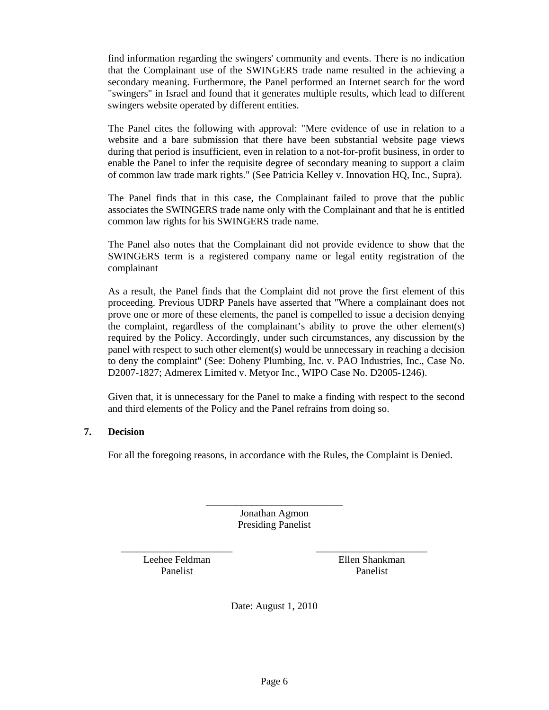find information regarding the swingers' community and events. There is no indication that the Complainant use of the SWINGERS trade name resulted in the achieving a secondary meaning. Furthermore, the Panel performed an Internet search for the word "swingers" in Israel and found that it generates multiple results, which lead to different swingers website operated by different entities.

The Panel cites the following with approval: "Mere evidence of use in relation to a website and a bare submission that there have been substantial website page views during that period is insufficient, even in relation to a not-for-profit business, in order to enable the Panel to infer the requisite degree of secondary meaning to support a claim of common law trade mark rights." (See Patricia Kelley v. Innovation HQ, Inc., Supra).

The Panel finds that in this case, the Complainant failed to prove that the public associates the SWINGERS trade name only with the Complainant and that he is entitled common law rights for his SWINGERS trade name.

The Panel also notes that the Complainant did not provide evidence to show that the SWINGERS term is a registered company name or legal entity registration of the complainant

As a result, the Panel finds that the Complaint did not prove the first element of this proceeding. Previous UDRP Panels have asserted that "Where a complainant does not prove one or more of these elements, the panel is compelled to issue a decision denying the complaint, regardless of the complainant's ability to prove the other element(s) required by the Policy. Accordingly, under such circumstances, any discussion by the panel with respect to such other element(s) would be unnecessary in reaching a decision to deny the complaint" (See: Doheny Plumbing, Inc. v. PAO Industries, Inc., Case No. D2007-1827; Admerex Limited v. Metyor Inc., WIPO Case No. D2005-1246).

Given that, it is unnecessary for the Panel to make a finding with respect to the second and third elements of the Policy and the Panel refrains from doing so.

### **7. Decision**

For all the foregoing reasons, in accordance with the Rules, the Complaint is Denied.

\_\_\_\_\_\_\_\_\_\_\_\_\_\_\_\_\_\_\_\_\_\_\_\_\_\_\_ Jonathan Agmon Presiding Panelist

Leehee Feldman Panelist

 $\overline{\phantom{a}}$  , we can also the contract of the contract of  $\overline{\phantom{a}}$ 

\_\_\_\_\_\_\_\_\_\_\_\_\_\_\_\_\_\_\_\_\_\_ Ellen Shankman Panelist

Date: August 1, 2010